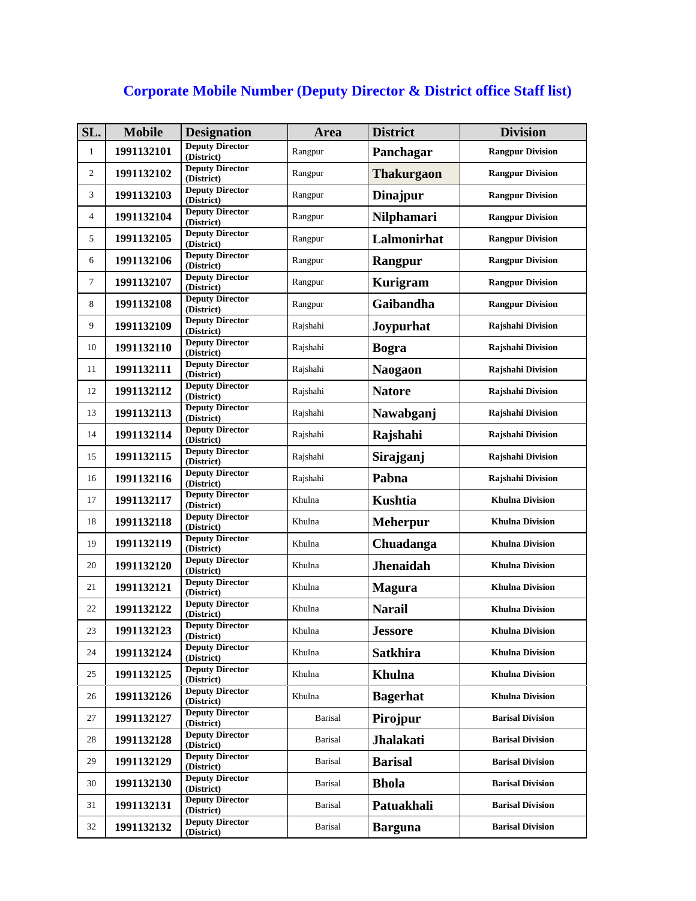## **Corporate Mobile Number (Deputy Director & District office Staff list)**

|            |                                      |                                                                                                                                | <b>District</b>   | <b>Division</b>         |
|------------|--------------------------------------|--------------------------------------------------------------------------------------------------------------------------------|-------------------|-------------------------|
| 1991132101 | <b>Deputy Director</b><br>(District) | Rangpur                                                                                                                        | Panchagar         | <b>Rangpur Division</b> |
| 1991132102 | (District)                           | Rangpur                                                                                                                        | <b>Thakurgaon</b> | <b>Rangpur Division</b> |
| 1991132103 | (District)                           | Rangpur                                                                                                                        | <b>Dinajpur</b>   | <b>Rangpur Division</b> |
| 1991132104 | <b>Deputy Director</b><br>(District) | Rangpur                                                                                                                        | Nilphamari        | <b>Rangpur Division</b> |
| 1991132105 | <b>Deputy Director</b><br>(District) | Rangpur                                                                                                                        | Lalmonirhat       | <b>Rangpur Division</b> |
| 1991132106 | <b>Deputy Director</b><br>(District) | Rangpur                                                                                                                        | Rangpur           | <b>Rangpur Division</b> |
| 1991132107 | <b>Deputy Director</b><br>(District) | Rangpur                                                                                                                        | Kurigram          | <b>Rangpur Division</b> |
| 1991132108 | <b>Deputy Director</b><br>(District) | Rangpur                                                                                                                        | Gaibandha         | <b>Rangpur Division</b> |
| 1991132109 | <b>Deputy Director</b><br>(District) | Rajshahi                                                                                                                       | Joypurhat         | Rajshahi Division       |
| 1991132110 | <b>Deputy Director</b><br>(District) | Rajshahi                                                                                                                       | <b>Bogra</b>      | Rajshahi Division       |
| 1991132111 | <b>Deputy Director</b><br>(District) | Rajshahi                                                                                                                       | <b>Naogaon</b>    | Rajshahi Division       |
| 1991132112 | (District)                           | Rajshahi                                                                                                                       | <b>Natore</b>     | Rajshahi Division       |
| 1991132113 | (District)                           | Rajshahi                                                                                                                       | Nawabganj         | Rajshahi Division       |
| 1991132114 | <b>Deputy Director</b><br>(District) | Rajshahi                                                                                                                       | Rajshahi          | Rajshahi Division       |
| 1991132115 | (District)                           | Rajshahi                                                                                                                       | Sirajganj         | Rajshahi Division       |
| 1991132116 | <b>Deputy Director</b><br>(District) | Rajshahi                                                                                                                       | Pabna             | Rajshahi Division       |
| 1991132117 | <b>Deputy Director</b><br>(District) | Khulna                                                                                                                         | <b>Kushtia</b>    | <b>Khulna Division</b>  |
| 1991132118 | <b>Deputy Director</b><br>(District) | Khulna                                                                                                                         | <b>Meherpur</b>   | <b>Khulna Division</b>  |
| 1991132119 | <b>Deputy Director</b><br>(District) | Khulna                                                                                                                         | Chuadanga         | <b>Khulna Division</b>  |
| 1991132120 | <b>Deputy Director</b><br>(District) | Khulna                                                                                                                         | <b>Jhenaidah</b>  | <b>Khulna Division</b>  |
| 1991132121 | <b>Deputy Director</b><br>(District) | Khulna                                                                                                                         | <b>Magura</b>     | <b>Khulna Division</b>  |
| 1991132122 | <b>Deputy Director</b><br>(District) | Khulna                                                                                                                         | <b>Narail</b>     | <b>Khulna Division</b>  |
| 1991132123 | <b>Deputy Director</b><br>(District) | Khulna                                                                                                                         | <b>Jessore</b>    | <b>Khulna Division</b>  |
| 1991132124 | <b>Deputy Director</b><br>(District) | Khulna                                                                                                                         | <b>Satkhira</b>   | <b>Khulna Division</b>  |
| 1991132125 | <b>Deputy Director</b><br>(District) | Khulna                                                                                                                         | <b>Khulna</b>     | <b>Khulna Division</b>  |
| 1991132126 | <b>Deputy Director</b><br>(District) | Khulna                                                                                                                         | <b>Bagerhat</b>   | <b>Khulna Division</b>  |
| 1991132127 | <b>Deputy Director</b><br>(District) | Barisal                                                                                                                        | Pirojpur          | <b>Barisal Division</b> |
| 1991132128 | <b>Deputy Director</b><br>(District) | <b>Barisal</b>                                                                                                                 | <b>Jhalakati</b>  | <b>Barisal Division</b> |
| 1991132129 | <b>Deputy Director</b><br>(District) | <b>Barisal</b>                                                                                                                 | <b>Barisal</b>    | <b>Barisal Division</b> |
| 1991132130 | <b>Deputy Director</b><br>(District) | Barisal                                                                                                                        | <b>Bhola</b>      | <b>Barisal Division</b> |
| 1991132131 | <b>Deputy Director</b><br>(District) | <b>Barisal</b>                                                                                                                 | Patuakhali        | <b>Barisal Division</b> |
| 1991132132 | <b>Deputy Director</b><br>(District) | <b>Barisal</b>                                                                                                                 | <b>Barguna</b>    | <b>Barisal Division</b> |
|            |                                      | <b>Deputy Director</b><br><b>Deputy Director</b><br><b>Deputy Director</b><br><b>Deputy Director</b><br><b>Deputy Director</b> |                   |                         |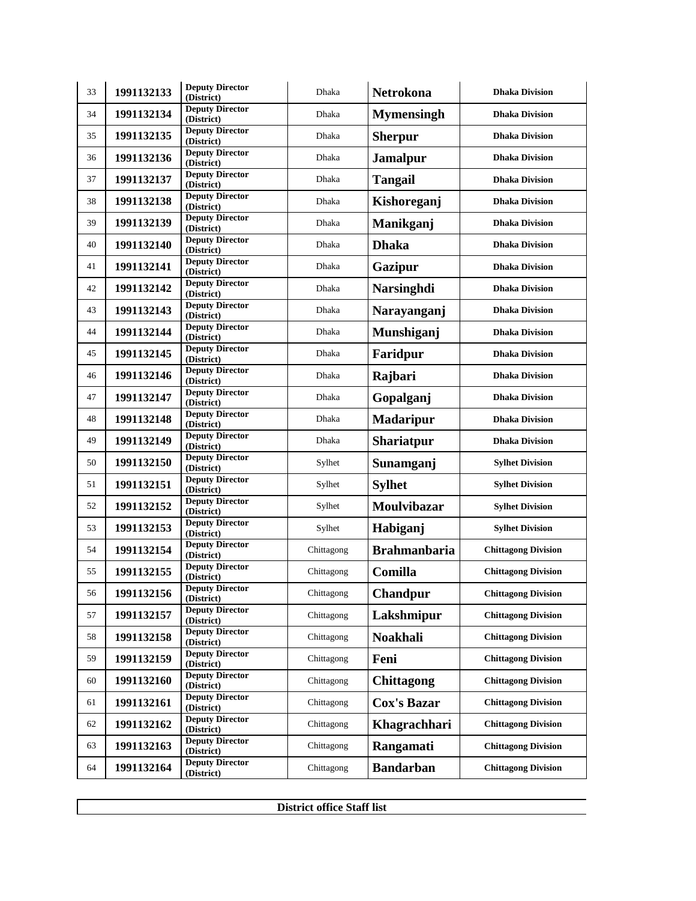| 33 | 1991132133 | <b>Deputy Director</b><br>(District) | <b>Dhaka</b> | Netrokona           | <b>Dhaka Division</b>      |
|----|------------|--------------------------------------|--------------|---------------------|----------------------------|
| 34 | 1991132134 | <b>Deputy Director</b><br>(District) | Dhaka        | <b>Mymensingh</b>   | <b>Dhaka Division</b>      |
| 35 | 1991132135 | <b>Deputy Director</b><br>(District) | Dhaka        | <b>Sherpur</b>      | <b>Dhaka Division</b>      |
| 36 | 1991132136 | <b>Deputy Director</b><br>(District) | Dhaka        | <b>Jamalpur</b>     | <b>Dhaka Division</b>      |
| 37 | 1991132137 | <b>Deputy Director</b><br>(District) | Dhaka        | <b>Tangail</b>      | <b>Dhaka Division</b>      |
| 38 | 1991132138 | <b>Deputy Director</b><br>(District) | Dhaka        | Kishoreganj         | <b>Dhaka Division</b>      |
| 39 | 1991132139 | <b>Deputy Director</b><br>(District) | Dhaka        | Manikganj           | <b>Dhaka Division</b>      |
| 40 | 1991132140 | <b>Deputy Director</b><br>(District) | Dhaka        | <b>Dhaka</b>        | <b>Dhaka Division</b>      |
| 41 | 1991132141 | <b>Deputy Director</b><br>(District) | Dhaka        | Gazipur             | <b>Dhaka Division</b>      |
| 42 | 1991132142 | <b>Deputy Director</b><br>(District) | Dhaka        | <b>Narsinghdi</b>   | <b>Dhaka Division</b>      |
| 43 | 1991132143 | <b>Deputy Director</b><br>(District) | Dhaka        | Narayanganj         | <b>Dhaka Division</b>      |
| 44 | 1991132144 | <b>Deputy Director</b><br>(District) | Dhaka        | Munshiganj          | <b>Dhaka Division</b>      |
| 45 | 1991132145 | <b>Deputy Director</b><br>(District) | Dhaka        | Faridpur            | <b>Dhaka Division</b>      |
| 46 | 1991132146 | <b>Deputy Director</b><br>(District) | Dhaka        | Rajbari             | <b>Dhaka Division</b>      |
| 47 | 1991132147 | <b>Deputy Director</b><br>(District) | Dhaka        | Gopalganj           | <b>Dhaka Division</b>      |
| 48 | 1991132148 | <b>Deputy Director</b><br>(District) | Dhaka        | <b>Madaripur</b>    | <b>Dhaka Division</b>      |
| 49 | 1991132149 | <b>Deputy Director</b><br>(District) | Dhaka        | <b>Shariatpur</b>   | <b>Dhaka Division</b>      |
| 50 | 1991132150 | <b>Deputy Director</b><br>(District) | Sylhet       | Sunamganj           | <b>Sylhet Division</b>     |
| 51 | 1991132151 | <b>Deputy Director</b><br>(District) | Sylhet       | <b>Sylhet</b>       | <b>Sylhet Division</b>     |
| 52 | 1991132152 | <b>Deputy Director</b><br>(District) | Sylhet       | Moulvibazar         | <b>Sylhet Division</b>     |
| 53 | 1991132153 | <b>Deputy Director</b><br>(District) | Sylhet       | Habiganj            | <b>Sylhet Division</b>     |
| 54 | 1991132154 | <b>Deputy Director</b><br>(District) | Chittagong   | <b>Brahmanbaria</b> | <b>Chittagong Division</b> |
| 55 | 1991132155 | <b>Deputy Director</b><br>(District) | Chittagong   | Comilla             | <b>Chittagong Division</b> |
| 56 | 1991132156 | <b>Deputy Director</b><br>(District) | Chittagong   | Chandpur            | <b>Chittagong Division</b> |
| 57 | 1991132157 | <b>Deputy Director</b><br>(District) | Chittagong   | Lakshmipur          | <b>Chittagong Division</b> |
| 58 | 1991132158 | <b>Deputy Director</b><br>(District) | Chittagong   | <b>Noakhali</b>     | <b>Chittagong Division</b> |
| 59 | 1991132159 | <b>Deputy Director</b><br>(District) | Chittagong   | Feni                | <b>Chittagong Division</b> |
| 60 | 1991132160 | <b>Deputy Director</b><br>(District) | Chittagong   | <b>Chittagong</b>   | <b>Chittagong Division</b> |
| 61 | 1991132161 | <b>Deputy Director</b><br>(District) | Chittagong   | <b>Cox's Bazar</b>  | <b>Chittagong Division</b> |
| 62 | 1991132162 | <b>Deputy Director</b><br>(District) | Chittagong   | Khagrachhari        | <b>Chittagong Division</b> |
| 63 | 1991132163 | <b>Deputy Director</b><br>(District) | Chittagong   | Rangamati           | <b>Chittagong Division</b> |
| 64 | 1991132164 | <b>Deputy Director</b><br>(District) | Chittagong   | <b>Bandarban</b>    | <b>Chittagong Division</b> |

**District office Staff list**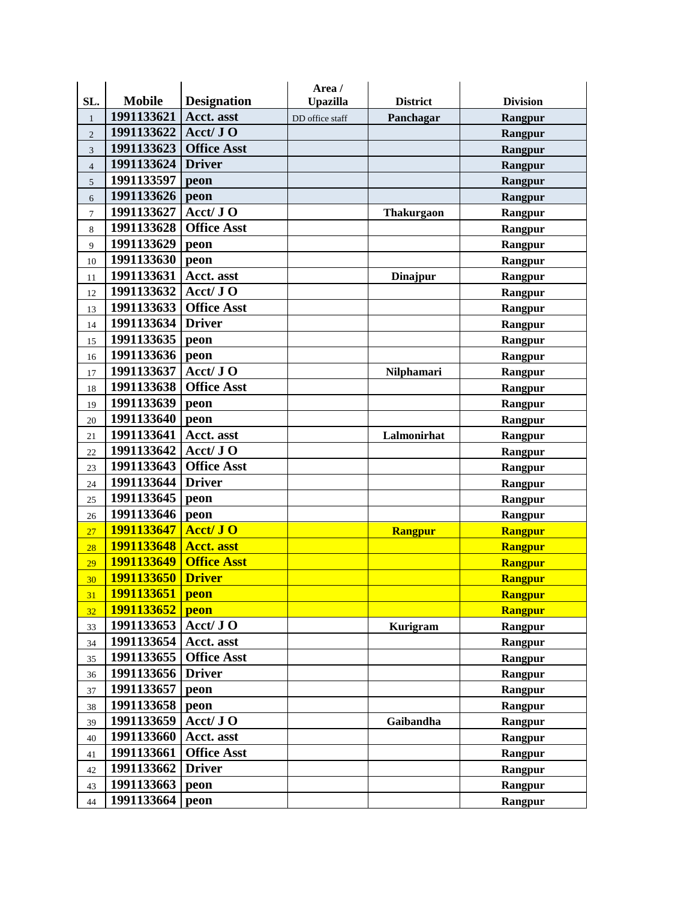|                |               |                    | Area /          |                   |                 |
|----------------|---------------|--------------------|-----------------|-------------------|-----------------|
| SL.            | <b>Mobile</b> | <b>Designation</b> | <b>Upazilla</b> | <b>District</b>   | <b>Division</b> |
| $\mathbf{1}$   | 1991133621    | <b>Acct.</b> asst  | DD office staff | Panchagar         | Rangpur         |
| $\overline{2}$ | 1991133622    | Acct/ JO           |                 |                   | Rangpur         |
| 3              | 1991133623    | <b>Office Asst</b> |                 |                   | Rangpur         |
| $\overline{4}$ | 1991133624    | <b>Driver</b>      |                 |                   | Rangpur         |
| 5              | 1991133597    | peon               |                 |                   | Rangpur         |
| 6              | 1991133626    | peon               |                 |                   | Rangpur         |
| $\tau$         | 1991133627    | $Acct/J$ O         |                 | <b>Thakurgaon</b> | Rangpur         |
| 8              | 1991133628    | <b>Office Asst</b> |                 |                   | Rangpur         |
| 9              | 1991133629    | peon               |                 |                   | Rangpur         |
| 10             | 1991133630    | peon               |                 |                   | Rangpur         |
| 11             | 1991133631    | Acct. asst         |                 | <b>Dinajpur</b>   | Rangpur         |
| 12             | 1991133632    | Acct/ JO           |                 |                   | Rangpur         |
| 13             | 1991133633    | <b>Office Asst</b> |                 |                   | Rangpur         |
| 14             | 1991133634    | <b>Driver</b>      |                 |                   | Rangpur         |
| 15             | 1991133635    | peon               |                 |                   | Rangpur         |
| 16             | 1991133636    | peon               |                 |                   | Rangpur         |
| 17             | 1991133637    | Acct/ JO           |                 | Nilphamari        | Rangpur         |
| 18             | 1991133638    | <b>Office Asst</b> |                 |                   | Rangpur         |
| 19             | 1991133639    | peon               |                 |                   | Rangpur         |
| 20             | 1991133640    | peon               |                 |                   | Rangpur         |
| 21             | 1991133641    | Acct. asst         |                 | Lalmonirhat       | Rangpur         |
| 22             | 1991133642    | Acct/ JO           |                 |                   | Rangpur         |
| 23             | 1991133643    | <b>Office Asst</b> |                 |                   | Rangpur         |
| 24             | 1991133644    | <b>Driver</b>      |                 |                   | Rangpur         |
| 25             | 1991133645    | peon               |                 |                   | Rangpur         |
| 26             | 1991133646    | peon               |                 |                   | Rangpur         |
| 27             | 1991133647    | Acct/ JO           |                 | Rangpur           | <b>Rangpur</b>  |
| 28             | 1991133648    | <b>Acct.</b> asst  |                 |                   | <b>Rangpur</b>  |
| 29             | 1991133649    | <b>Office Asst</b> |                 |                   | <b>Rangpur</b>  |
| 30             | 1991133650    | <b>Driver</b>      |                 |                   | <b>Rangpur</b>  |
| 31             | 1991133651    | peon               |                 |                   | Rangpur         |
| 32             | 1991133652    | peon               |                 |                   | <b>Rangpur</b>  |
| 33             | 1991133653    | Acct/ JO           |                 | <b>Kurigram</b>   | Rangpur         |
| 34             | 1991133654    | Acct. asst         |                 |                   | Rangpur         |
| 35             | 1991133655    | <b>Office Asst</b> |                 |                   | Rangpur         |
| 36             | 1991133656    | <b>Driver</b>      |                 |                   | Rangpur         |
| 37             | 1991133657    | peon               |                 |                   | Rangpur         |
| 38             | 1991133658    | peon               |                 |                   | Rangpur         |
| 39             | 1991133659    | Acct/ JO           |                 | Gaibandha         | Rangpur         |
| $40\,$         | 1991133660    | Acct. asst         |                 |                   | Rangpur         |
| 41             | 1991133661    | <b>Office Asst</b> |                 |                   | Rangpur         |
| 42             | 1991133662    | <b>Driver</b>      |                 |                   | Rangpur         |
| 43             | 1991133663    | peon               |                 |                   | Rangpur         |
| 44             | 1991133664    | peon               |                 |                   | Rangpur         |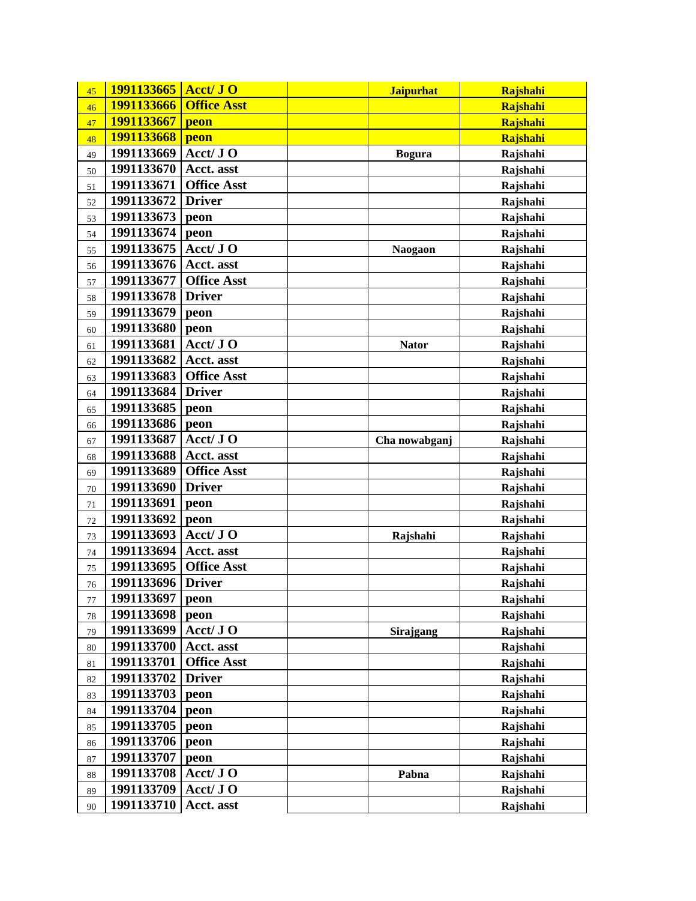| 45      | 1991133665 | Acct/ JO           | <b>Jaipurhat</b> | Rajshahi |
|---------|------------|--------------------|------------------|----------|
| 46      | 1991133666 | <b>Office Asst</b> |                  | Rajshahi |
| 47      | 1991133667 | peon               |                  | Rajshahi |
| 48      | 1991133668 | peon               |                  | Rajshahi |
| 49      | 1991133669 | Acct/ JO           | <b>Bogura</b>    | Rajshahi |
| 50      | 1991133670 | Acct. asst         |                  | Rajshahi |
| 51      | 1991133671 | <b>Office Asst</b> |                  | Rajshahi |
| 52      | 1991133672 | <b>Driver</b>      |                  | Rajshahi |
| 53      | 1991133673 | peon               |                  | Rajshahi |
| 54      | 1991133674 | peon               |                  | Rajshahi |
| 55      | 1991133675 | Acct/ JO           | <b>Naogaon</b>   | Rajshahi |
| 56      | 1991133676 | Acct. asst         |                  | Rajshahi |
| 57      | 1991133677 | <b>Office Asst</b> |                  | Rajshahi |
| 58      | 1991133678 | <b>Driver</b>      |                  | Rajshahi |
| 59      | 1991133679 | peon               |                  | Rajshahi |
| 60      | 1991133680 | peon               |                  | Rajshahi |
| 61      | 1991133681 | Acct/ JO           | <b>Nator</b>     | Rajshahi |
| 62      | 1991133682 | Acct. asst         |                  | Rajshahi |
| 63      | 1991133683 | <b>Office Asst</b> |                  | Rajshahi |
| 64      | 1991133684 | <b>Driver</b>      |                  | Rajshahi |
| 65      | 1991133685 | peon               |                  | Rajshahi |
| 66      | 1991133686 | peon               |                  | Rajshahi |
| 67      | 1991133687 | Acct/ JO           | Cha nowabganj    | Rajshahi |
| 68      | 1991133688 | Acct. asst         |                  | Rajshahi |
| 69      | 1991133689 | <b>Office Asst</b> |                  | Rajshahi |
| 70      | 1991133690 | <b>Driver</b>      |                  | Rajshahi |
| 71      | 1991133691 | peon               |                  | Rajshahi |
| $72\,$  | 1991133692 | peon               |                  | Rajshahi |
| 73      | 1991133693 | Acct/ JO           | Rajshahi         | Rajshahi |
| 74      | 1991133694 | Acct. asst         |                  | Rajshahi |
| 75      | 1991133695 | <b>Office Asst</b> |                  | Rajshahi |
| 76      | 1991133696 | <b>Driver</b>      |                  | Rajshahi |
| $77 \,$ | 1991133697 | peon               |                  | Rajshahi |
| 78      | 1991133698 | peon               |                  | Rajshahi |
| 79      | 1991133699 | Acct/ JO           | Sirajgang        | Rajshahi |
| 80      | 1991133700 | Acct. asst         |                  | Rajshahi |
| 81      | 1991133701 | <b>Office Asst</b> |                  | Rajshahi |
| 82      | 1991133702 | <b>Driver</b>      |                  | Rajshahi |
| 83      | 1991133703 | peon               |                  | Rajshahi |
| 84      | 1991133704 | peon               |                  | Rajshahi |
| 85      | 1991133705 | peon               |                  | Rajshahi |
| 86      | 1991133706 | peon               |                  | Rajshahi |
| 87      | 1991133707 | peon               |                  | Rajshahi |
| 88      | 1991133708 | Acct/ JO           | Pabna            | Rajshahi |
| 89      | 1991133709 | Acct/ JO           |                  | Rajshahi |
| 90      | 1991133710 | Acct. asst         |                  | Rajshahi |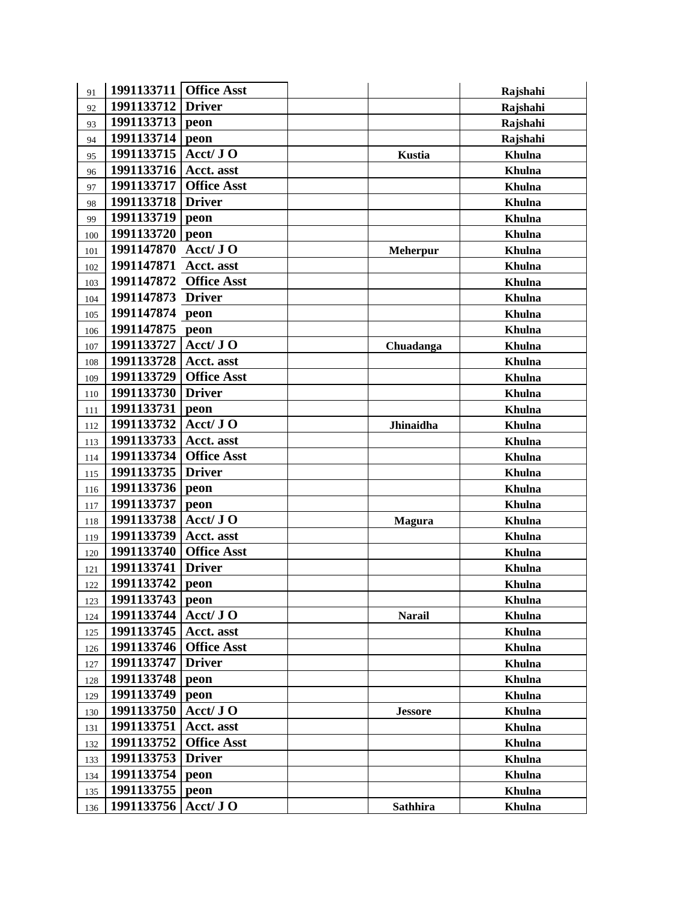| 91  | 1991133711        | <b>Office Asst</b>      |                 | Rajshahi      |
|-----|-------------------|-------------------------|-----------------|---------------|
| 92  | 1991133712        | <b>Driver</b>           |                 | Rajshahi      |
| 93  | 1991133713        | peon                    |                 | Rajshahi      |
| 94  | 1991133714        | peon                    |                 | Rajshahi      |
| 95  | 1991133715        | Acct/ JO                | <b>Kustia</b>   | Khulna        |
| 96  | 1991133716        | Acct. asst              |                 | <b>Khulna</b> |
| 97  | 1991133717        | <b>Office Asst</b>      |                 | Khulna        |
| 98  | 1991133718        | <b>Driver</b>           |                 | Khulna        |
| 99  | 1991133719        | peon                    |                 | Khulna        |
| 100 | 1991133720        | peon                    |                 | Khulna        |
| 101 | 1991147870        | $Acct/J$ O              | <b>Meherpur</b> | <b>Khulna</b> |
| 102 | 1991147871        | Acct. asst              |                 | Khulna        |
| 103 | 1991147872        | <b>Office Asst</b>      |                 | Khulna        |
| 104 | 1991147873 Driver |                         |                 | Khulna        |
| 105 | 1991147874 peon   |                         |                 | Khulna        |
| 106 | 1991147875        | peon                    |                 | Khulna        |
| 107 | 1991133727        | Acct/ JO                | Chuadanga       | <b>Khulna</b> |
| 108 | 1991133728        | Acct. asst              |                 | Khulna        |
| 109 | 1991133729        | <b>Office Asst</b>      |                 | Khulna        |
| 110 | 1991133730        | <b>Driver</b>           |                 | Khulna        |
| 111 | 1991133731        | peon                    |                 | Khulna        |
| 112 | 1991133732        | Acct/ JO                | Jhinaidha       | Khulna        |
| 113 | 1991133733        | Acct. asst              |                 | <b>Khulna</b> |
| 114 | 1991133734        | <b>Office Asst</b>      |                 | Khulna        |
| 115 | 1991133735        | <b>Driver</b>           |                 | Khulna        |
| 116 | 1991133736        | peon                    |                 | Khulna        |
| 117 | 1991133737        | peon                    |                 | Khulna        |
| 118 | 1991133738        | Acct/ JO                | <b>Magura</b>   | Khulna        |
| 119 | 1991133739        | Acct. asst              |                 | <b>Khulna</b> |
| 120 | 1991133740        | <b>Office Asst</b>      |                 | Khulna        |
| 121 | 1991133741        | <b>Driver</b>           |                 | Khulna        |
| 122 | 1991133742        | peon                    |                 | Khulna        |
| 123 | 1991133743        | peon                    |                 | Khulna        |
| 124 | 1991133744        | Acct/ JO                | <b>Narail</b>   | Khulna        |
| 125 | 1991133745        | Acct. asst              |                 | Khulna        |
| 126 | 1991133746        | <b>Office Asst</b>      |                 | Khulna        |
| 127 | 1991133747        | <b>Driver</b>           |                 | Khulna        |
| 128 | 1991133748        | peon                    |                 | Khulna        |
| 129 | 1991133749        | peon                    |                 | Khulna        |
| 130 | 1991133750        | Acct/ JO                | <b>Jessore</b>  | Khulna        |
| 131 | 1991133751        | Acct. asst              |                 | Khulna        |
| 132 | 1991133752        | <b>Office Asst</b>      |                 | Khulna        |
| 133 | 1991133753        | <b>Driver</b>           |                 | Khulna        |
| 134 | 1991133754        | peon                    |                 | Khulna        |
| 135 | 1991133755        | peon                    |                 | Khulna        |
| 136 | 1991133756        | $\text{Act}/\text{J}$ O | <b>Sathhira</b> | Khulna        |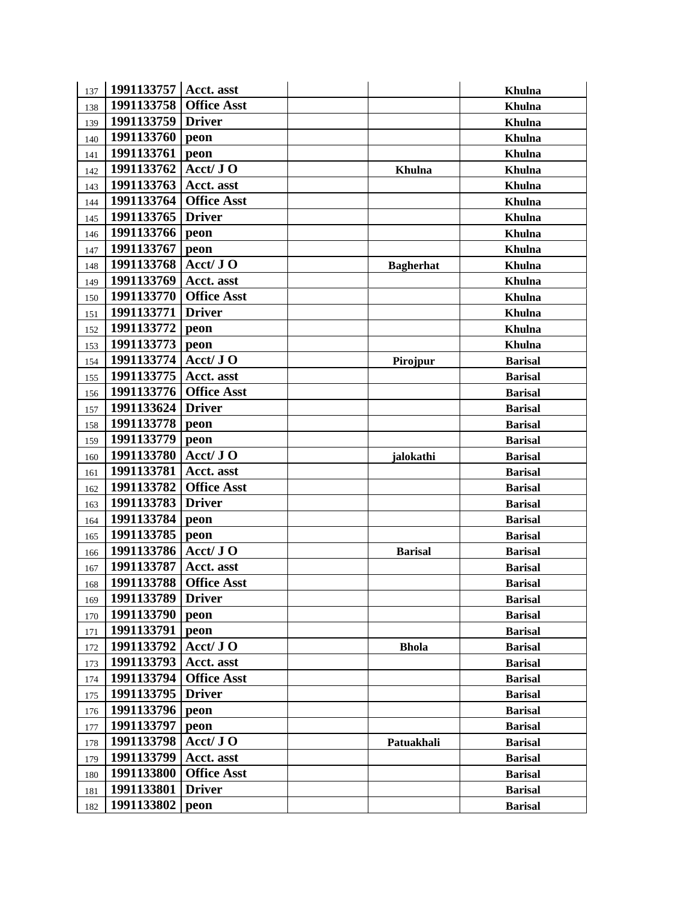| 137 | 1991133757   Acct. asst |                    |                  | Khulna         |
|-----|-------------------------|--------------------|------------------|----------------|
| 138 | 1991133758              | <b>Office Asst</b> |                  | Khulna         |
| 139 | 1991133759              | <b>Driver</b>      |                  | Khulna         |
| 140 | 1991133760              | peon               |                  | Khulna         |
| 141 | 1991133761              | peon               |                  | Khulna         |
| 142 | 1991133762              | Acct/ JO           | Khulna           | Khulna         |
| 143 | 1991133763              | Acct. asst         |                  | Khulna         |
| 144 | 1991133764              | <b>Office Asst</b> |                  | Khulna         |
| 145 | 1991133765              | <b>Driver</b>      |                  | Khulna         |
| 146 | 1991133766              | peon               |                  | Khulna         |
| 147 | 1991133767              | peon               |                  | Khulna         |
| 148 | 1991133768              | Acct/ JO           | <b>Bagherhat</b> | Khulna         |
| 149 | 1991133769              | Acct. asst         |                  | Khulna         |
| 150 | 1991133770              | <b>Office Asst</b> |                  | Khulna         |
| 151 | 1991133771              | <b>Driver</b>      |                  | Khulna         |
| 152 | 1991133772              | peon               |                  | Khulna         |
| 153 | 1991133773              | peon               |                  | Khulna         |
| 154 | 1991133774              | Acct/ JO           | Pirojpur         | <b>Barisal</b> |
| 155 | 1991133775              | Acct. asst         |                  | <b>Barisal</b> |
| 156 | 1991133776              | <b>Office Asst</b> |                  | <b>Barisal</b> |
| 157 | 1991133624              | <b>Driver</b>      |                  | <b>Barisal</b> |
| 158 | 1991133778              | peon               |                  | <b>Barisal</b> |
| 159 | 1991133779              | peon               |                  | <b>Barisal</b> |
| 160 | 1991133780              | Acct/ JO           | jalokathi        | <b>Barisal</b> |
| 161 | 1991133781              | Acct. asst         |                  | <b>Barisal</b> |
| 162 | 1991133782              | <b>Office Asst</b> |                  | <b>Barisal</b> |
| 163 | 1991133783              | <b>Driver</b>      |                  | <b>Barisal</b> |
| 164 | 1991133784              | peon               |                  | <b>Barisal</b> |
| 165 | 1991133785              | peon               |                  | <b>Barisal</b> |
| 166 | 1991133786              | Acct/ JO           | <b>Barisal</b>   | <b>Barisal</b> |
| 167 | 1991133787              | Acct. asst         |                  | <b>Barisal</b> |
| 168 | 1991133788              | <b>Office Asst</b> |                  | <b>Barisal</b> |
| 169 | 1991133789 Driver       |                    |                  | <b>Barisal</b> |
| 170 | 1991133790              | peon               |                  | <b>Barisal</b> |
| 171 | 1991133791              | peon               |                  | <b>Barisal</b> |
| 172 | 1991133792              | Acct/ JO           | <b>Bhola</b>     | <b>Barisal</b> |
| 173 | 1991133793              | Acct. asst         |                  | <b>Barisal</b> |
| 174 | 1991133794              | <b>Office Asst</b> |                  | <b>Barisal</b> |
| 175 | 1991133795              | <b>Driver</b>      |                  | <b>Barisal</b> |
| 176 | 1991133796              | peon               |                  | <b>Barisal</b> |
| 177 | 1991133797              | peon               |                  | <b>Barisal</b> |
| 178 | 1991133798              | Acct/ JO           | Patuakhali       | <b>Barisal</b> |
| 179 | 1991133799              | Acct. asst         |                  | <b>Barisal</b> |
| 180 | 1991133800              | <b>Office Asst</b> |                  | <b>Barisal</b> |
| 181 | 1991133801              | <b>Driver</b>      |                  | <b>Barisal</b> |
| 182 | 1991133802              | peon               |                  | <b>Barisal</b> |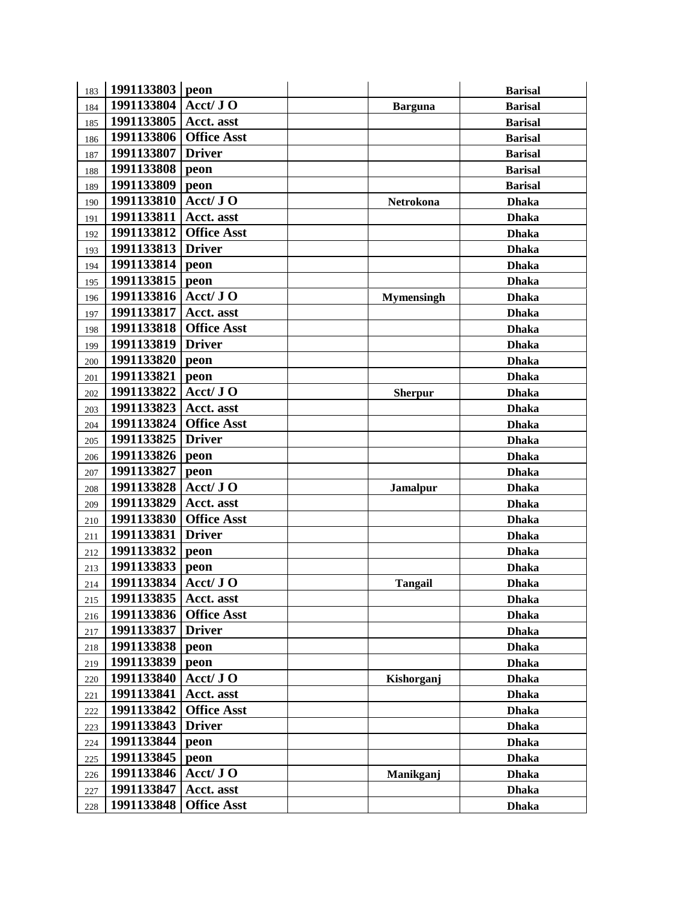| 183 | 1991133803 peon |                    |                   | <b>Barisal</b> |
|-----|-----------------|--------------------|-------------------|----------------|
| 184 | 1991133804      | Acct/ JO           | <b>Barguna</b>    | <b>Barisal</b> |
| 185 | 1991133805      | Acct. asst         |                   | <b>Barisal</b> |
| 186 | 1991133806      | <b>Office Asst</b> |                   | <b>Barisal</b> |
| 187 | 1991133807      | <b>Driver</b>      |                   | <b>Barisal</b> |
| 188 | 1991133808      | peon               |                   | <b>Barisal</b> |
| 189 | 1991133809      | peon               |                   | <b>Barisal</b> |
| 190 | 1991133810      | Acct/ JO           | Netrokona         | <b>Dhaka</b>   |
| 191 | 1991133811      | Acct. asst         |                   | <b>Dhaka</b>   |
| 192 | 1991133812      | <b>Office Asst</b> |                   | <b>Dhaka</b>   |
| 193 | 1991133813      | <b>Driver</b>      |                   | <b>Dhaka</b>   |
| 194 | 1991133814      | peon               |                   | <b>Dhaka</b>   |
| 195 | 1991133815      | peon               |                   | <b>Dhaka</b>   |
| 196 | 1991133816      | Acct/ JO           | <b>Mymensingh</b> | <b>Dhaka</b>   |
| 197 | 1991133817      | Acct. asst         |                   | <b>Dhaka</b>   |
| 198 | 1991133818      | <b>Office Asst</b> |                   | <b>Dhaka</b>   |
| 199 | 1991133819      | <b>Driver</b>      |                   | <b>Dhaka</b>   |
| 200 | 1991133820      | peon               |                   | <b>Dhaka</b>   |
| 201 | 1991133821      | peon               |                   | <b>Dhaka</b>   |
| 202 | 1991133822      | Acct/ JO           | <b>Sherpur</b>    | <b>Dhaka</b>   |
| 203 | 1991133823      | Acct. asst         |                   | <b>Dhaka</b>   |
| 204 | 1991133824      | <b>Office Asst</b> |                   | <b>Dhaka</b>   |
| 205 | 1991133825      | <b>Driver</b>      |                   | <b>Dhaka</b>   |
| 206 | 1991133826      | peon               |                   | <b>Dhaka</b>   |
| 207 | 1991133827      | peon               |                   | <b>Dhaka</b>   |
| 208 | 1991133828      | Acct/ JO           | <b>Jamalpur</b>   | <b>Dhaka</b>   |
| 209 | 1991133829      | Acct. asst         |                   | <b>Dhaka</b>   |
| 210 | 1991133830      | <b>Office Asst</b> |                   | <b>Dhaka</b>   |
| 211 | 1991133831      | <b>Driver</b>      |                   | <b>Dhaka</b>   |
| 212 | 1991133832      | peon               |                   | <b>Dhaka</b>   |
| 213 | 1991133833      | peon               |                   | <b>Dhaka</b>   |
| 214 | 1991133834      | Acct/ JO           | <b>Tangail</b>    | <b>Dhaka</b>   |
| 215 | 1991133835      | Acct. asst         |                   | <b>Dhaka</b>   |
| 216 | 1991133836      | <b>Office Asst</b> |                   | <b>Dhaka</b>   |
| 217 | 1991133837      | <b>Driver</b>      |                   | <b>Dhaka</b>   |
| 218 | 1991133838      | peon               |                   | <b>Dhaka</b>   |
| 219 | 1991133839      | peon               |                   | <b>Dhaka</b>   |
| 220 | 1991133840      | Acct/ JO           | Kishorganj        | <b>Dhaka</b>   |
| 221 | 1991133841      | Acct. asst         |                   | <b>Dhaka</b>   |
| 222 | 1991133842      | <b>Office Asst</b> |                   | <b>Dhaka</b>   |
| 223 | 1991133843      | <b>Driver</b>      |                   | <b>Dhaka</b>   |
| 224 | 1991133844      | peon               |                   | <b>Dhaka</b>   |
| 225 | 1991133845      | peon               |                   | <b>Dhaka</b>   |
| 226 | 1991133846      | $Acct/J$ O         | Manikganj         | <b>Dhaka</b>   |
| 227 | 1991133847      | Acct. asst         |                   | <b>Dhaka</b>   |
| 228 | 1991133848      | <b>Office Asst</b> |                   | <b>Dhaka</b>   |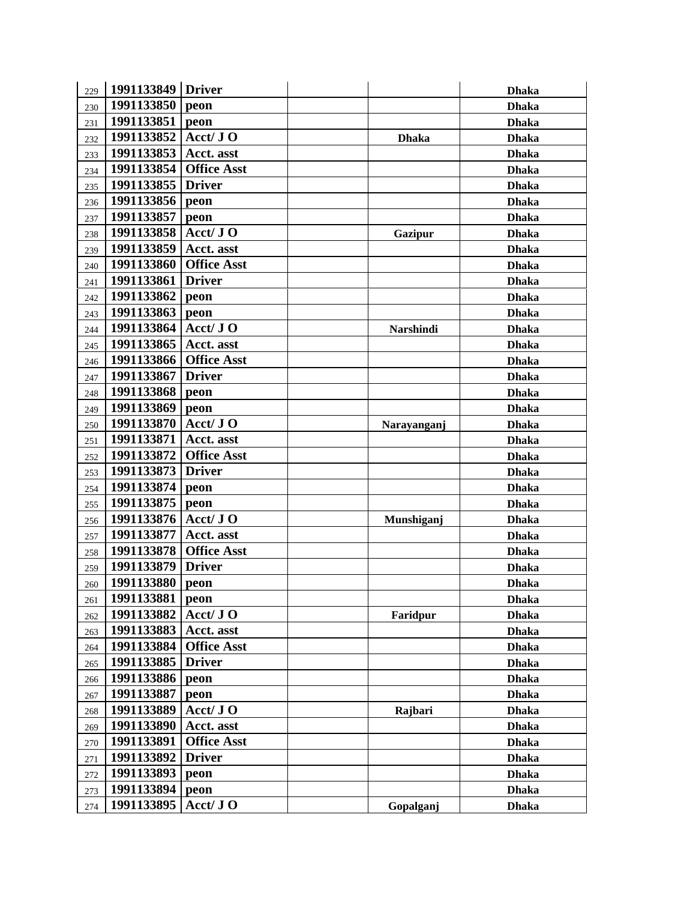| 229 | 1991133849 Driver |                    |              | <b>Dhaka</b> |
|-----|-------------------|--------------------|--------------|--------------|
| 230 | 1991133850        | peon               |              | <b>Dhaka</b> |
| 231 | 1991133851        | peon               |              | <b>Dhaka</b> |
| 232 | 1991133852        | Acct/ JO           | <b>Dhaka</b> | <b>Dhaka</b> |
| 233 | 1991133853        | Acct. asst         |              | <b>Dhaka</b> |
| 234 | 1991133854        | <b>Office Asst</b> |              | <b>Dhaka</b> |
| 235 | 1991133855        | <b>Driver</b>      |              | <b>Dhaka</b> |
| 236 | 1991133856        | peon               |              | <b>Dhaka</b> |
| 237 | 1991133857        | peon               |              | <b>Dhaka</b> |
| 238 | 1991133858        | Acct/ JO           | Gazipur      | <b>Dhaka</b> |
| 239 | 1991133859        | Acct. asst         |              | <b>Dhaka</b> |
| 240 | 1991133860        | <b>Office Asst</b> |              | <b>Dhaka</b> |
| 241 | 1991133861        | <b>Driver</b>      |              | <b>Dhaka</b> |
| 242 | 1991133862        | peon               |              | <b>Dhaka</b> |
| 243 | 1991133863        | peon               |              | <b>Dhaka</b> |
| 244 | 1991133864        | Acct/ JO           | Narshindi    | <b>Dhaka</b> |
| 245 | 1991133865        | Acct. asst         |              | <b>Dhaka</b> |
| 246 | 1991133866        | <b>Office Asst</b> |              | <b>Dhaka</b> |
| 247 | 1991133867        | <b>Driver</b>      |              | <b>Dhaka</b> |
| 248 | 1991133868        | peon               |              | <b>Dhaka</b> |
| 249 | 1991133869        | peon               |              | <b>Dhaka</b> |
| 250 | 1991133870        | Acct/ JO           | Narayanganj  | <b>Dhaka</b> |
| 251 | 1991133871        | Acct. asst         |              | <b>Dhaka</b> |
| 252 | 1991133872        | <b>Office Asst</b> |              | <b>Dhaka</b> |
| 253 | 1991133873        | <b>Driver</b>      |              | <b>Dhaka</b> |
| 254 | 1991133874        | peon               |              | <b>Dhaka</b> |
| 255 | 1991133875        | peon               |              | <b>Dhaka</b> |
| 256 | 1991133876        | Acct/ JO           | Munshiganj   | <b>Dhaka</b> |
| 257 | 1991133877        | Acct. asst         |              | <b>Dhaka</b> |
| 258 | 1991133878        | <b>Office Asst</b> |              | <b>Dhaka</b> |
| 259 | 1991133879        | <b>Driver</b>      |              | <b>Dhaka</b> |
| 260 | 1991133880        | peon               |              | <b>Dhaka</b> |
| 261 | 1991133881        | peon               |              | <b>Dhaka</b> |
| 262 | 1991133882        | Acct/ JO           | Faridpur     | <b>Dhaka</b> |
| 263 | 1991133883        | Acct. asst         |              | <b>Dhaka</b> |
| 264 | 1991133884        | <b>Office Asst</b> |              | <b>Dhaka</b> |
| 265 | 1991133885        | <b>Driver</b>      |              | <b>Dhaka</b> |
| 266 | 1991133886        | peon               |              | <b>Dhaka</b> |
| 267 | 1991133887        | peon               |              | <b>Dhaka</b> |
| 268 | 1991133889        | Acct/ JO           | Rajbari      | <b>Dhaka</b> |
| 269 | 1991133890        | Acct. asst         |              | <b>Dhaka</b> |
| 270 | 1991133891        | <b>Office Asst</b> |              | <b>Dhaka</b> |
| 271 | 1991133892        | <b>Driver</b>      |              | <b>Dhaka</b> |
| 272 | 1991133893        | peon               |              | <b>Dhaka</b> |
| 273 | 1991133894        | peon               |              | <b>Dhaka</b> |
| 274 | 1991133895        | Acct/ JO           | Gopalganj    | <b>Dhaka</b> |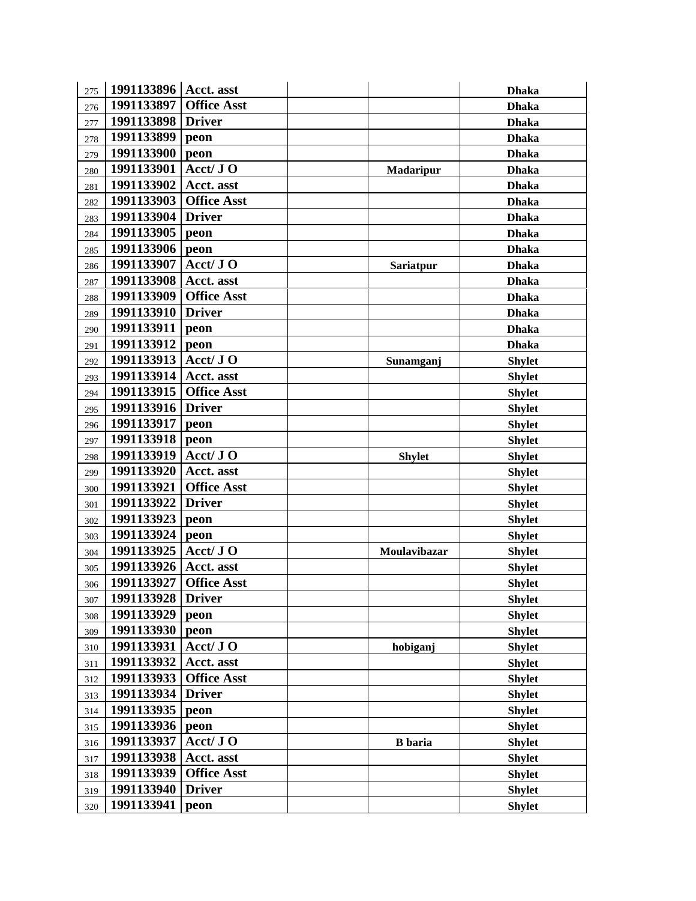| 275 | 1991133896 | Acct. asst         |                  | <b>Dhaka</b>  |
|-----|------------|--------------------|------------------|---------------|
| 276 | 1991133897 | <b>Office Asst</b> |                  | <b>Dhaka</b>  |
| 277 | 1991133898 | <b>Driver</b>      |                  | <b>Dhaka</b>  |
| 278 | 1991133899 | peon               |                  | <b>Dhaka</b>  |
| 279 | 1991133900 | peon               |                  | <b>Dhaka</b>  |
| 280 | 1991133901 | Acct/ JO           | <b>Madaripur</b> | <b>Dhaka</b>  |
| 281 | 1991133902 | Acct. asst         |                  | <b>Dhaka</b>  |
| 282 | 1991133903 | <b>Office Asst</b> |                  | <b>Dhaka</b>  |
| 283 | 1991133904 | <b>Driver</b>      |                  | <b>Dhaka</b>  |
| 284 | 1991133905 | peon               |                  | <b>Dhaka</b>  |
| 285 | 1991133906 | peon               |                  | <b>Dhaka</b>  |
| 286 | 1991133907 | Acct/ JO           | <b>Sariatpur</b> | <b>Dhaka</b>  |
| 287 | 1991133908 | Acct. asst         |                  | <b>Dhaka</b>  |
| 288 | 1991133909 | <b>Office Asst</b> |                  | <b>Dhaka</b>  |
| 289 | 1991133910 | <b>Driver</b>      |                  | <b>Dhaka</b>  |
| 290 | 1991133911 | peon               |                  | <b>Dhaka</b>  |
| 291 | 1991133912 | peon               |                  | <b>Dhaka</b>  |
| 292 | 1991133913 | Acct/ JO           | Sunamganj        | <b>Shylet</b> |
| 293 | 1991133914 | Acct. asst         |                  | <b>Shylet</b> |
| 294 | 1991133915 | <b>Office Asst</b> |                  | <b>Shylet</b> |
| 295 | 1991133916 | <b>Driver</b>      |                  | <b>Shylet</b> |
| 296 | 1991133917 | peon               |                  | <b>Shylet</b> |
| 297 | 1991133918 | peon               |                  | <b>Shylet</b> |
| 298 | 1991133919 | Acct/ JO           | <b>Shylet</b>    | <b>Shylet</b> |
| 299 | 1991133920 | Acct. asst         |                  | <b>Shylet</b> |
| 300 | 1991133921 | <b>Office Asst</b> |                  | <b>Shylet</b> |
| 301 | 1991133922 | <b>Driver</b>      |                  | <b>Shylet</b> |
| 302 | 1991133923 | peon               |                  | <b>Shylet</b> |
| 303 | 1991133924 | peon               |                  | <b>Shylet</b> |
| 304 | 1991133925 | Acct/ JO           | Moulavibazar     | <b>Shylet</b> |
| 305 | 1991133926 | Acct. asst         |                  | <b>Shylet</b> |
| 306 | 1991133927 | <b>Office Asst</b> |                  | <b>Shylet</b> |
| 307 | 1991133928 | <b>Driver</b>      |                  | <b>Shylet</b> |
| 308 | 1991133929 | peon               |                  | <b>Shylet</b> |
| 309 | 1991133930 | peon               |                  | <b>Shylet</b> |
| 310 | 1991133931 | Acct/ JO           | hobiganj         | <b>Shylet</b> |
| 311 | 1991133932 | Acct. asst         |                  | <b>Shylet</b> |
| 312 | 1991133933 | <b>Office Asst</b> |                  | <b>Shylet</b> |
| 313 | 1991133934 | <b>Driver</b>      |                  | <b>Shylet</b> |
| 314 | 1991133935 | peon               |                  | <b>Shylet</b> |
| 315 | 1991133936 | peon               |                  | <b>Shylet</b> |
| 316 | 1991133937 | Acct/ JO           | <b>B</b> baria   | <b>Shylet</b> |
| 317 | 1991133938 | Acct. asst         |                  | <b>Shylet</b> |
| 318 | 1991133939 | <b>Office Asst</b> |                  | <b>Shylet</b> |
| 319 | 1991133940 | <b>Driver</b>      |                  | <b>Shylet</b> |
| 320 | 1991133941 | peon               |                  | <b>Shylet</b> |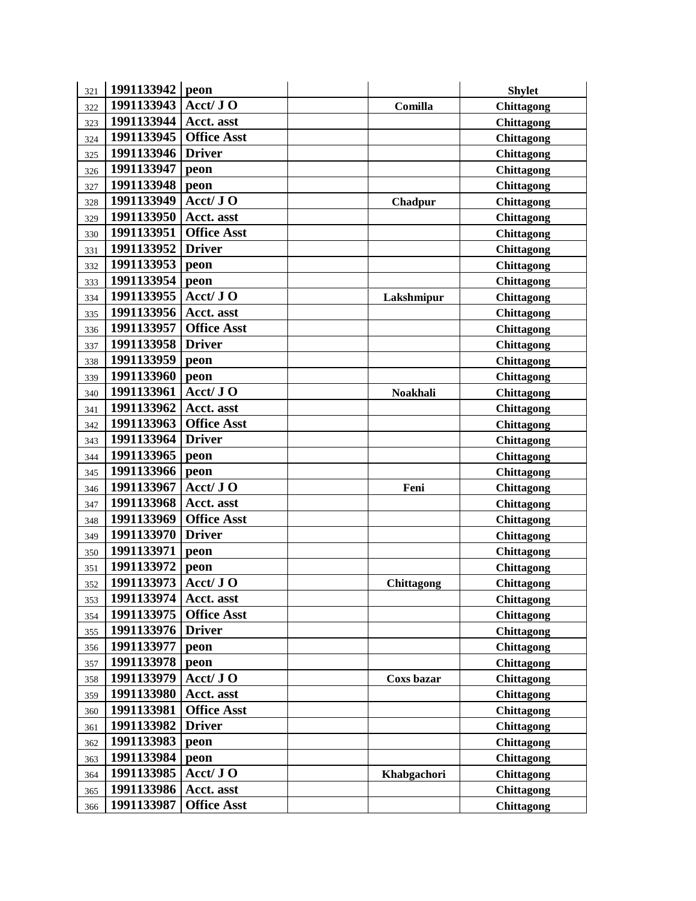| 321 | 1991133942 | peon               |                 | <b>Shylet</b>     |
|-----|------------|--------------------|-----------------|-------------------|
| 322 | 1991133943 | Acct/ JO           | Comilla         | <b>Chittagong</b> |
| 323 | 1991133944 | Acct. asst         |                 | <b>Chittagong</b> |
| 324 | 1991133945 | <b>Office Asst</b> |                 | Chittagong        |
| 325 | 1991133946 | <b>Driver</b>      |                 | <b>Chittagong</b> |
| 326 | 1991133947 | peon               |                 | Chittagong        |
| 327 | 1991133948 | peon               |                 | Chittagong        |
| 328 | 1991133949 | Acct/ JO           | Chadpur         | <b>Chittagong</b> |
| 329 | 1991133950 | Acct. asst         |                 | <b>Chittagong</b> |
| 330 | 1991133951 | <b>Office Asst</b> |                 | <b>Chittagong</b> |
| 331 | 1991133952 | <b>Driver</b>      |                 | <b>Chittagong</b> |
| 332 | 1991133953 | peon               |                 | Chittagong        |
| 333 | 1991133954 | peon               |                 | Chittagong        |
| 334 | 1991133955 | Acct/ JO           | Lakshmipur      | <b>Chittagong</b> |
| 335 | 1991133956 | Acct. asst         |                 | <b>Chittagong</b> |
| 336 | 1991133957 | <b>Office Asst</b> |                 | Chittagong        |
| 337 | 1991133958 | <b>Driver</b>      |                 | <b>Chittagong</b> |
| 338 | 1991133959 | peon               |                 | <b>Chittagong</b> |
| 339 | 1991133960 | peon               |                 | Chittagong        |
| 340 | 1991133961 | Acct/ JO           | <b>Noakhali</b> | <b>Chittagong</b> |
| 341 | 1991133962 | Acct. asst         |                 | <b>Chittagong</b> |
| 342 | 1991133963 | <b>Office Asst</b> |                 | Chittagong        |
| 343 | 1991133964 | <b>Driver</b>      |                 | Chittagong        |
| 344 | 1991133965 | peon               |                 | <b>Chittagong</b> |
| 345 | 1991133966 | peon               |                 | Chittagong        |
| 346 | 1991133967 | Acct/ JO           | Feni            | <b>Chittagong</b> |
| 347 | 1991133968 | Acct. asst         |                 | <b>Chittagong</b> |
| 348 | 1991133969 | <b>Office Asst</b> |                 | Chittagong        |
| 349 | 1991133970 | <b>Driver</b>      |                 | Chittagong        |
| 350 | 1991133971 | peon               |                 | <b>Chittagong</b> |
| 351 | 1991133972 | peon               |                 | <b>Chittagong</b> |
| 352 | 1991133973 | Acct/ JO           | Chittagong      | <b>Chittagong</b> |
| 353 | 1991133974 | Acct. asst         |                 | Chittagong        |
| 354 | 1991133975 | <b>Office Asst</b> |                 | Chittagong        |
| 355 | 1991133976 | <b>Driver</b>      |                 | <b>Chittagong</b> |
| 356 | 1991133977 | peon               |                 | Chittagong        |
| 357 | 1991133978 | peon               |                 | <b>Chittagong</b> |
| 358 | 1991133979 | Acct/ JO           | Coxs bazar      | Chittagong        |
| 359 | 1991133980 | Acct. asst         |                 | Chittagong        |
| 360 | 1991133981 | <b>Office Asst</b> |                 | Chittagong        |
| 361 | 1991133982 | <b>Driver</b>      |                 | Chittagong        |
| 362 | 1991133983 | peon               |                 | <b>Chittagong</b> |
| 363 | 1991133984 | peon               |                 | <b>Chittagong</b> |
| 364 | 1991133985 | Acct/ JO           | Khabgachori     | Chittagong        |
| 365 | 1991133986 | Acct. asst         |                 | Chittagong        |
| 366 | 1991133987 | <b>Office Asst</b> |                 | Chittagong        |